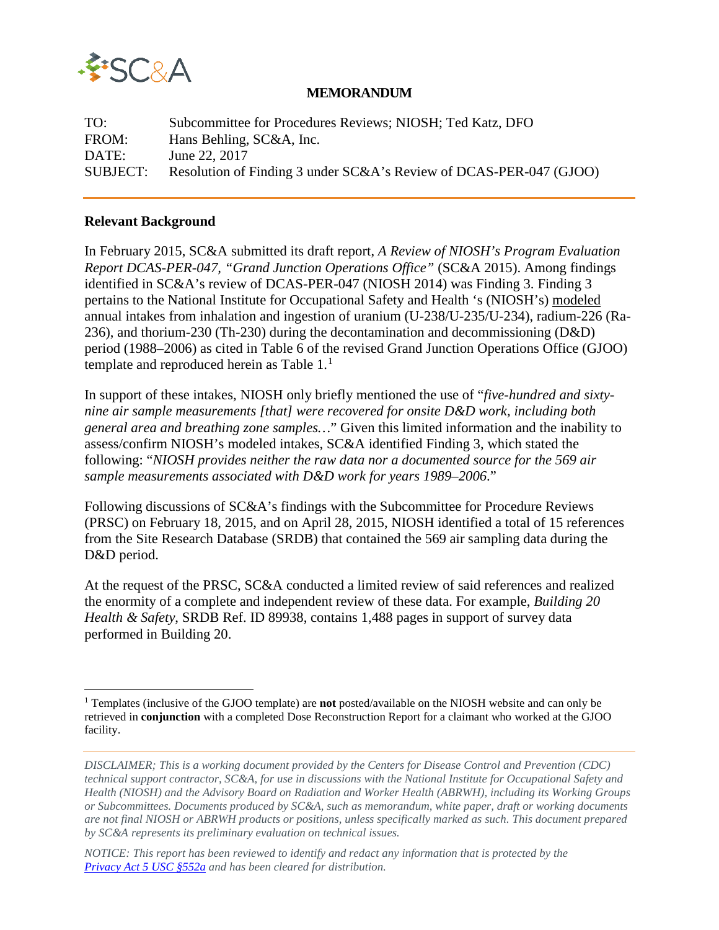

#### **MEMORANDUM**

TO: Subcommittee for Procedures Reviews; NIOSH; Ted Katz, DFO FROM: Hans Behling, SC&A, Inc. DATE: June 22, 2017 SUBJECT: Resolution of Finding 3 under SC&A's Review of DCAS-PER-047 (GJOO)

#### **Relevant Background**

In February 2015, SC&A submitted its draft report, *A Review of NIOSH's Program Evaluation Report DCAS-PER-047, "Grand Junction Operations Office"* (SC&A 2015). Among findings identified in SC&A's review of DCAS-PER-047 (NIOSH 2014) was Finding 3. Finding 3 pertains to the National Institute for Occupational Safety and Health 's (NIOSH's) modeled annual intakes from inhalation and ingestion of uranium (U-238/U-235/U-234), radium-226 (Ra-236), and thorium-230 (Th-230) during the decontamination and decommissioning (D&D) period (1988–2006) as cited in Table 6 of the revised Grand Junction Operations Office (GJOO) template and reproduced herein as Table  $1<sup>1</sup>$  $1<sup>1</sup>$ 

In support of these intakes, NIOSH only briefly mentioned the use of "*five-hundred and sixtynine air sample measurements [that] were recovered for onsite D&D work, including both general area and breathing zone samples…*" Given this limited information and the inability to assess/confirm NIOSH's modeled intakes, SC&A identified Finding 3, which stated the following: "*NIOSH provides neither the raw data nor a documented source for the 569 air sample measurements associated with D&D work for years 1989–2006*."

Following discussions of SC&A's findings with the Subcommittee for Procedure Reviews (PRSC) on February 18, 2015, and on April 28, 2015, NIOSH identified a total of 15 references from the Site Research Database (SRDB) that contained the 569 air sampling data during the D&D period.

At the request of the PRSC, SC&A conducted a limited review of said references and realized the enormity of a complete and independent review of these data. For example, *Building 20 Health & Safety*, SRDB Ref. ID 89938, contains 1,488 pages in support of survey data performed in Building 20.

<span id="page-0-0"></span><sup>1</sup> Templates (inclusive of the GJOO template) are **not** posted/available on the NIOSH website and can only be retrieved in **conjunction** with a completed Dose Reconstruction Report for a claimant who worked at the GJOO facility.  $\overline{a}$ 

*DISCLAIMER; This is a working document provided by the Centers for Disease Control and Prevention (CDC) technical support contractor, SC&A, for use in discussions with the National Institute for Occupational Safety and Health (NIOSH) and the Advisory Board on Radiation and Worker Health (ABRWH), including its Working Groups or Subcommittees. Documents produced by SC&A, such as memorandum, white paper, draft or working documents are not final NIOSH or ABRWH products or positions, unless specifically marked as such. This document prepared by SC&A represents its preliminary evaluation on technical issues.*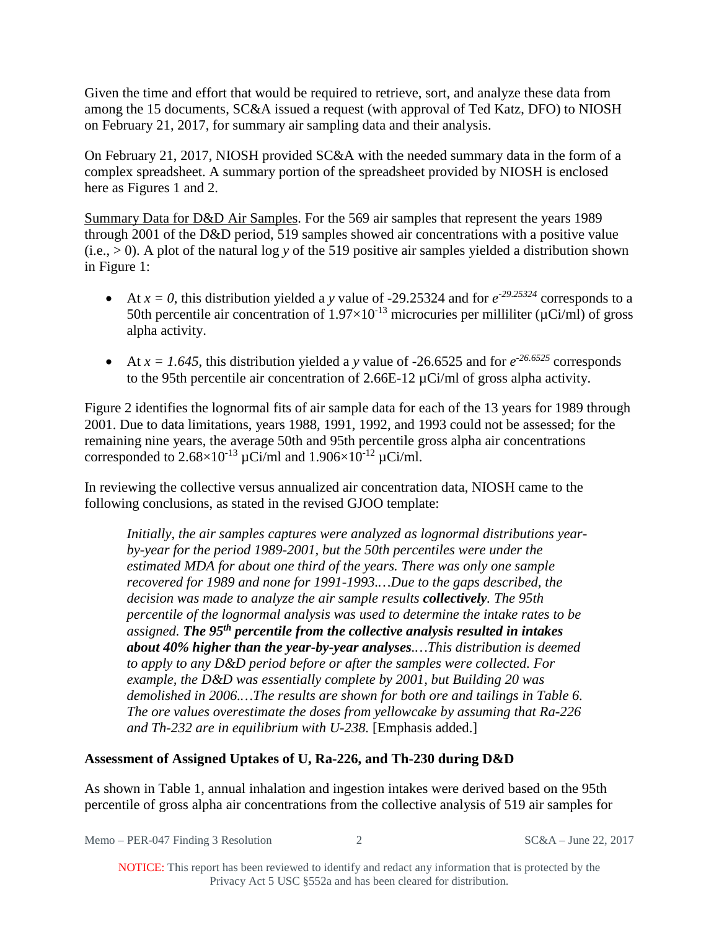Given the time and effort that would be required to retrieve, sort, and analyze these data from among the 15 documents, SC&A issued a request (with approval of Ted Katz, DFO) to NIOSH on February 21, 2017, for summary air sampling data and their analysis.

On February 21, 2017, NIOSH provided SC&A with the needed summary data in the form of a complex spreadsheet. A summary portion of the spreadsheet provided by NIOSH is enclosed here as Figures 1 and 2.

Summary Data for D&D Air Samples. For the 569 air samples that represent the years 1989 through 2001 of the D&D period, 519 samples showed air concentrations with a positive value  $(i.e., > 0)$ . A plot of the natural log y of the 519 positive air samples yielded a distribution shown in Figure 1:

- At  $x = 0$ , this distribution yielded a *y* value of -29.25324 and for  $e^{-29.25324}$  corresponds to a 50th percentile air concentration of  $1.97 \times 10^{-13}$  microcuries per milliliter ( $\mu$ Ci/ml) of gross alpha activity.
- At  $x = 1.645$ , this distribution yielded a *y* value of -26.6525 and for  $e^{-26.6525}$  corresponds to the 95th percentile air concentration of 2.66E-12 µCi/ml of gross alpha activity.

Figure 2 identifies the lognormal fits of air sample data for each of the 13 years for 1989 through 2001. Due to data limitations, years 1988, 1991, 1992, and 1993 could not be assessed; for the remaining nine years, the average 50th and 95th percentile gross alpha air concentrations corresponded to  $2.68\times10^{-13}$   $\mu$ Ci/ml and  $1.906\times10^{-12}$   $\mu$ Ci/ml.

In reviewing the collective versus annualized air concentration data, NIOSH came to the following conclusions, as stated in the revised GJOO template:

*Initially, the air samples captures were analyzed as lognormal distributions yearby-year for the period 1989-2001, but the 50th percentiles were under the estimated MDA for about one third of the years. There was only one sample recovered for 1989 and none for 1991-1993.…Due to the gaps described, the decision was made to analyze the air sample results collectively. The 95th percentile of the lognormal analysis was used to determine the intake rates to be assigned. The 95th percentile from the collective analysis resulted in intakes about 40% higher than the year-by-year analyses.…This distribution is deemed to apply to any D&D period before or after the samples were collected. For example, the D&D was essentially complete by 2001, but Building 20 was demolished in 2006.…The results are shown for both ore and tailings in Table 6. The ore values overestimate the doses from yellowcake by assuming that Ra-226 and Th-232 are in equilibrium with U-238.* [Emphasis added.]

# **Assessment of Assigned Uptakes of U, Ra-226, and Th-230 during D&D**

As shown in Table 1, annual inhalation and ingestion intakes were derived based on the 95th percentile of gross alpha air concentrations from the collective analysis of 519 air samples for

Memo – PER-047 Finding 3 Resolution 2 SC&A – June 22, 2017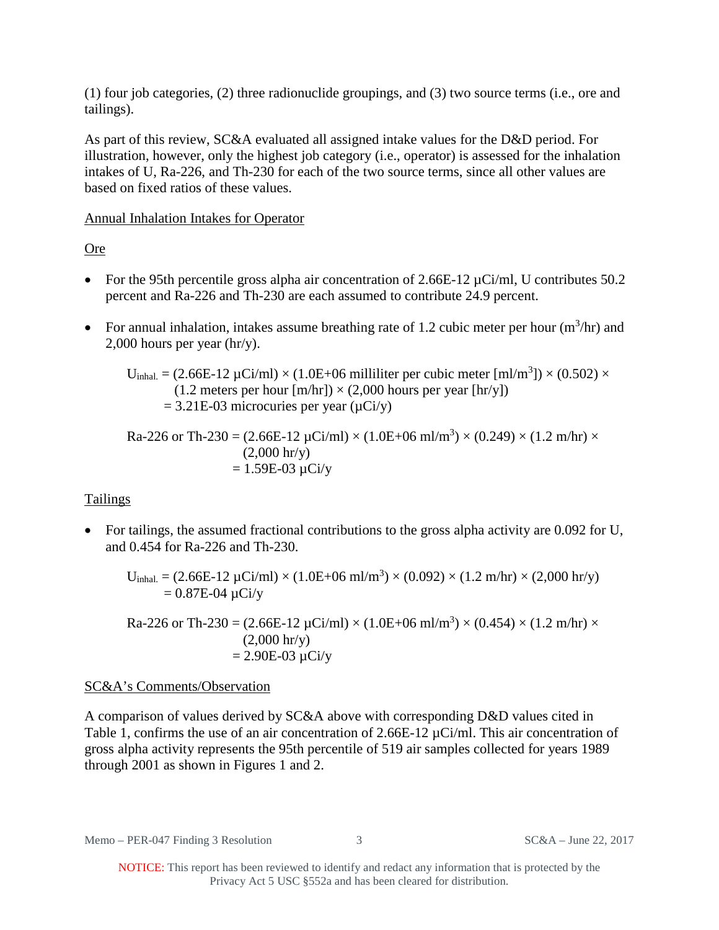(1) four job categories, (2) three radionuclide groupings, and (3) two source terms (i.e., ore and tailings).

As part of this review, SC&A evaluated all assigned intake values for the D&D period. For illustration, however, only the highest job category (i.e., operator) is assessed for the inhalation intakes of U, Ra-226, and Th-230 for each of the two source terms, since all other values are based on fixed ratios of these values.

## Annual Inhalation Intakes for Operator

Ore

- For the 95th percentile gross alpha air concentration of  $2.66E-12 \mu Ci/ml$ , U contributes 50.2 percent and Ra-226 and Th-230 are each assumed to contribute 24.9 percent.
- For annual inhalation, intakes assume breathing rate of 1.2 cubic meter per hour  $(m^3/hr)$  and 2,000 hours per year (hr/y).

 $U_{\text{inhal.}} = (2.66E - 12 \,\mu\text{Ci/ml}) \times (1.0E + 06 \,\text{milliliter per cubic meter [ml/m}^3]) \times (0.502) \times$  $(1.2$  meters per hour  $[m/hr] \times (2,000$  hours per year  $[hr/y]$ )  $= 3.21E-03$  microcuries per year ( $\mu$ Ci/y)

Ra-226 or Th-230 = (2.66E-12 
$$
\mu
$$
Ci/ml) × (1.0E+06 ml/m<sup>3</sup>) × (0.249) × (1.2 m/hr) ×  
\n(2,000 hr/y)  
\n= 1.59E-03  $\mu$ Ci/y

# **Tailings**

• For tailings, the assumed fractional contributions to the gross alpha activity are 0.092 for U, and 0.454 for Ra-226 and Th-230.

 $U_{\text{inhal.}} = (2.66E - 12 \,\mu\text{Ci/ml}) \times (1.0E + 06 \,\text{ml/m}^3) \times (0.092) \times (1.2 \,\text{m/hr}) \times (2,000 \,\text{hr/y})$  $= 0.87E-04 \mu Ci/y$ 

Ra-226 or Th-230 = (2.66E-12  $\mu$ Ci/ml)  $\times$  (1.0E+06 ml/m<sup>3</sup>)  $\times$  (0.454)  $\times$  (1.2 m/hr)  $\times$  $(2,000 \text{ hr/y})$  $= 2.90E - 03 \mu Ci/y$ 

# SC&A's Comments/Observation

A comparison of values derived by SC&A above with corresponding D&D values cited in Table 1, confirms the use of an air concentration of 2.66E-12  $\mu$ Ci/ml. This air concentration of gross alpha activity represents the 95th percentile of 519 air samples collected for years 1989 through 2001 as shown in Figures 1 and 2.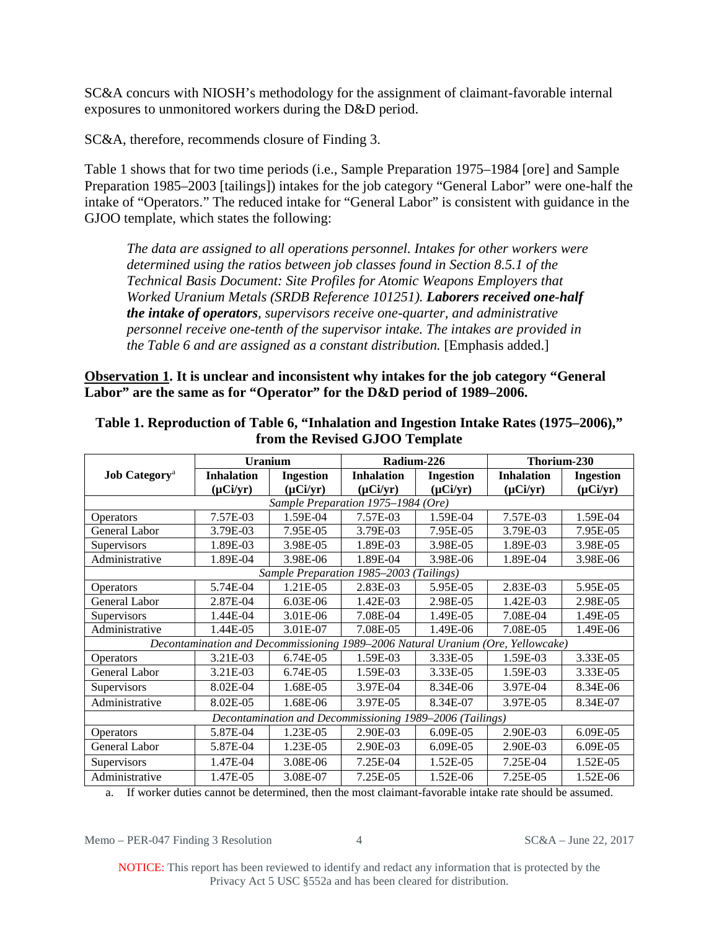SC&A concurs with NIOSH's methodology for the assignment of claimant-favorable internal exposures to unmonitored workers during the D&D period.

SC&A, therefore, recommends closure of Finding 3.

Table 1 shows that for two time periods (i.e., Sample Preparation 1975–1984 [ore] and Sample Preparation 1985–2003 [tailings]) intakes for the job category "General Labor" were one-half the intake of "Operators." The reduced intake for "General Labor" is consistent with guidance in the GJOO template, which states the following:

*The data are assigned to all operations personnel. Intakes for other workers were determined using the ratios between job classes found in Section 8.5.1 of the Technical Basis Document: Site Profiles for Atomic Weapons Employers that Worked Uranium Metals (SRDB Reference 101251). Laborers received one-half the intake of operators, supervisors receive one-quarter, and administrative personnel receive one-tenth of the supervisor intake. The intakes are provided in the Table 6 and are assigned as a constant distribution.* [Emphasis added.]

**Observation 1. It is unclear and inconsistent why intakes for the job category "General Labor" are the same as for "Operator" for the D&D period of 1989–2006.** 

|                                                                                 | <b>Uranium</b>    |                  | Radium-226        |                  | Thorium-230       |                  |
|---------------------------------------------------------------------------------|-------------------|------------------|-------------------|------------------|-------------------|------------------|
| <b>Job Category</b> <sup>a</sup>                                                | <b>Inhalation</b> | <b>Ingestion</b> | <b>Inhalation</b> | <b>Ingestion</b> | <b>Inhalation</b> | <b>Ingestion</b> |
|                                                                                 | $(\mu Ci/yr)$     | $(\mu Ci/yr)$    | $(\mu Ci/yr)$     | $(\mu Ci/yr)$    | $(\mu Ci/yr)$     | $(\mu Ci/yr)$    |
| Sample Preparation 1975-1984 (Ore)                                              |                   |                  |                   |                  |                   |                  |
| <b>Operators</b>                                                                | 7.57E-03          | 1.59E-04         | 7.57E-03          | 1.59E-04         | 7.57E-03          | 1.59E-04         |
| General Labor                                                                   | 3.79E-03          | 7.95E-05         | 3.79E-03          | 7.95E-05         | 3.79E-03          | 7.95E-05         |
| Supervisors                                                                     | 1.89E-03          | 3.98E-05         | 1.89E-03          | 3.98E-05         | 1.89E-03          | 3.98E-05         |
| Administrative                                                                  | 1.89E-04          | 3.98E-06         | 1.89E-04          | 3.98E-06         | 1.89E-04          | 3.98E-06         |
| Sample Preparation 1985-2003 (Tailings)                                         |                   |                  |                   |                  |                   |                  |
| <b>Operators</b>                                                                | 5.74E-04          | 1.21E-05         | 2.83E-03          | 5.95E-05         | 2.83E-03          | 5.95E-05         |
| General Labor                                                                   | 2.87E-04          | $6.03E-06$       | 1.42E-03          | 2.98E-05         | 1.42E-03          | 2.98E-05         |
| Supervisors                                                                     | 1.44E-04          | 3.01E-06         | 7.08E-04          | 1.49E-05         | 7.08E-04          | 1.49E-05         |
| Administrative                                                                  | 1.44E-05          | 3.01E-07         | 7.08E-05          | 1.49E-06         | 7.08E-05          | 1.49E-06         |
| Decontamination and Decommissioning 1989-2006 Natural Uranium (Ore, Yellowcake) |                   |                  |                   |                  |                   |                  |
| Operators                                                                       | 3.21E-03          | 6.74E-05         | 1.59E-03          | 3.33E-05         | 1.59E-03          | 3.33E-05         |
| General Labor                                                                   | 3.21E-03          | 6.74E-05         | 1.59E-03          | 3.33E-05         | 1.59E-03          | 3.33E-05         |
| Supervisors                                                                     | 8.02E-04          | 1.68E-05         | 3.97E-04          | 8.34E-06         | 3.97E-04          | 8.34E-06         |
| Administrative                                                                  | 8.02E-05          | 1.68E-06         | 3.97E-05          | 8.34E-07         | 3.97E-05          | 8.34E-07         |
| Decontamination and Decommissioning 1989-2006 (Tailings)                        |                   |                  |                   |                  |                   |                  |
| <b>Operators</b>                                                                | 5.87E-04          | 1.23E-05         | 2.90E-03          | 6.09E-05         | 2.90E-03          | 6.09E-05         |
| General Labor                                                                   | 5.87E-04          | 1.23E-05         | 2.90E-03          | 6.09E-05         | 2.90E-03          | 6.09E-05         |
| Supervisors                                                                     | 1.47E-04          | 3.08E-06         | 7.25E-04          | 1.52E-05         | 7.25E-04          | 1.52E-05         |
| Administrative                                                                  | 1.47E-05          | 3.08E-07         | 7.25E-05          | 1.52E-06         | 7.25E-05          | 1.52E-06         |

# **Table 1. Reproduction of Table 6, "Inhalation and Ingestion Intake Rates (1975–2006)," from the Revised GJOO Template**

a. If worker duties cannot be determined, then the most claimant-favorable intake rate should be assumed.

Memo – PER-047 Finding 3 Resolution 4 SC&A – June 22, 2017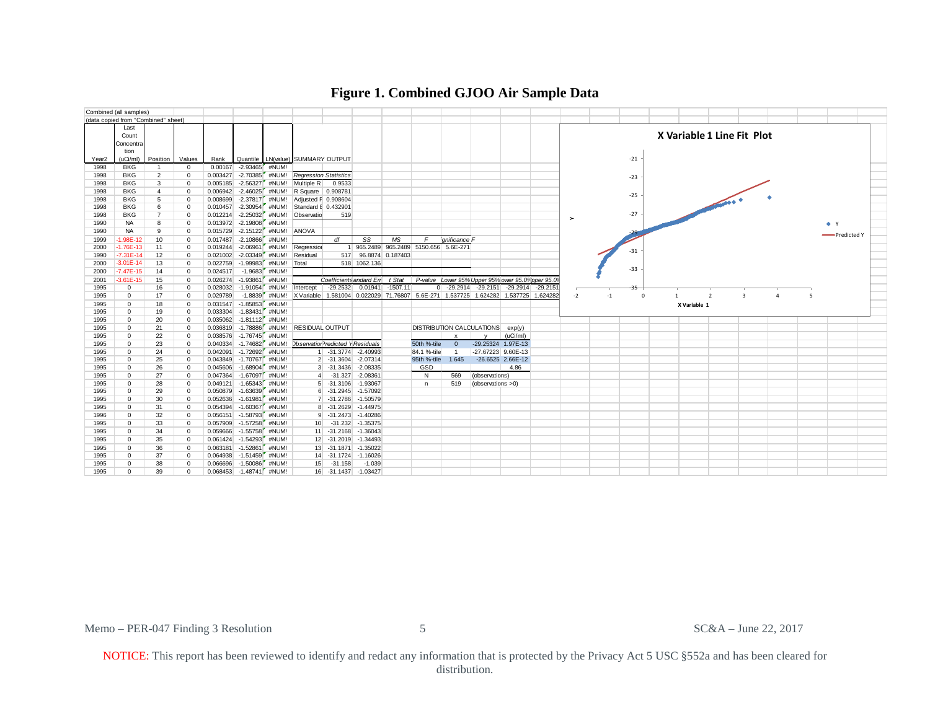

#### **Figure 1. Combined GJOO Air Sample Data**

Memo – PER-047 Finding 3 Resolution 5 5 SC&A – June 22, 2017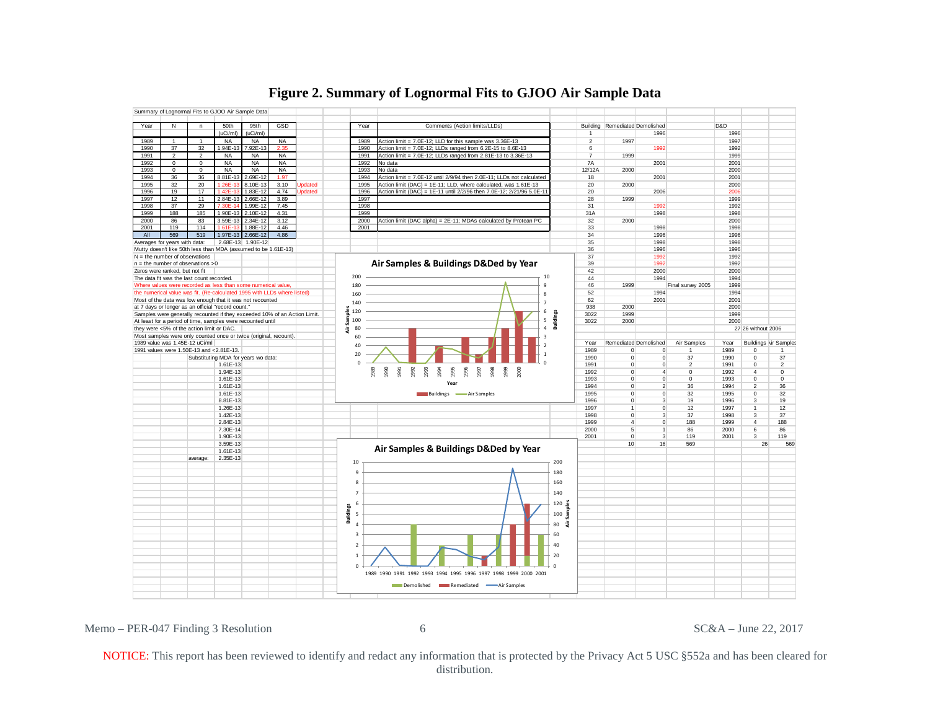

### **Figure 2. Summary of Lognormal Fits to GJOO Air Sample Data**

Memo – PER-047 Finding 3 Resolution 6 6 SC&A – June 22, 2017